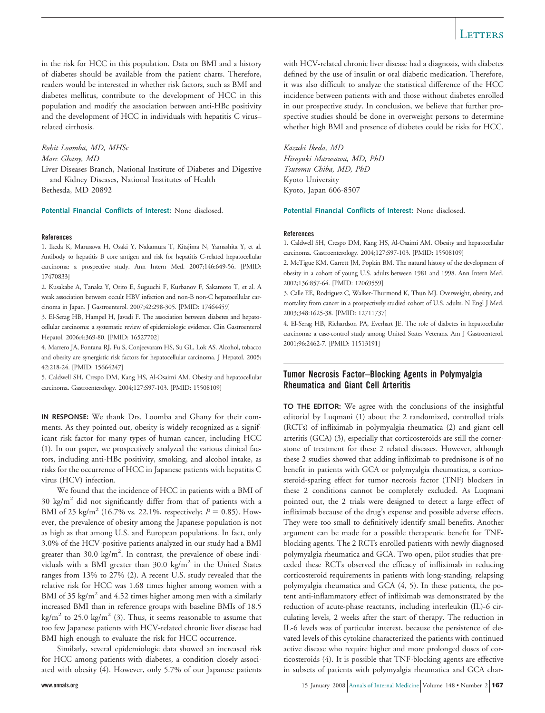in the risk for HCC in this population. Data on BMI and a history of diabetes should be available from the patient charts. Therefore, readers would be interested in whether risk factors, such as BMI and diabetes mellitus, contribute to the development of HCC in this population and modify the association between anti-HBc positivity and the development of HCC in individuals with hepatitis C virus– related cirrhosis.

### *Rohit Loomba, MD, MHSc*

## *Marc Ghany, MD*

Liver Diseases Branch, National Institute of Diabetes and Digestive and Kidney Diseases, National Institutes of Health Bethesda, MD 20892

**Potential Financial Conflicts of Interest:** None disclosed.

### **References**

1. Ikeda K, Marusawa H, Osaki Y, Nakamura T, Kitajima N, Yamashita Y, et al. Antibody to hepatitis B core antigen and risk for hepatitis C-related hepatocellular carcinoma: a prospective study. Ann Intern Med. 2007;146:649-56. [PMID: 17470833]

2. Kusakabe A, Tanaka Y, Orito E, Sugauchi F, Kurbanov F, Sakamoto T, et al. A weak association between occult HBV infection and non-B non-C hepatocellular carcinoma in Japan. J Gastroenterol. 2007;42:298-305. [PMID: 17464459]

3. El-Serag HB, Hampel H, Javadi F. The association between diabetes and hepatocellular carcinoma: a systematic review of epidemiologic evidence. Clin Gastroenterol Hepatol. 2006;4:369-80. [PMID: 16527702]

4. Marrero JA, Fontana RJ, Fu S, Conjeevaram HS, Su GL, Lok AS. Alcohol, tobacco and obesity are synergistic risk factors for hepatocellular carcinoma. J Hepatol. 2005; 42:218-24. [PMID: 15664247]

5. Caldwell SH, Crespo DM, Kang HS, Al-Osaimi AM. Obesity and hepatocellular carcinoma. Gastroenterology. 2004;127:S97-103. [PMID: 15508109]

**IN RESPONSE:** We thank Drs. Loomba and Ghany for their comments. As they pointed out, obesity is widely recognized as a significant risk factor for many types of human cancer, including HCC (1). In our paper, we prospectively analyzed the various clinical factors, including anti-HBc positivity, smoking, and alcohol intake, as risks for the occurrence of HCC in Japanese patients with hepatitis C virus (HCV) infection.

We found that the incidence of HCC in patients with a BMI of 30 kg/ $m^2$  did not significantly differ from that of patients with a BMI of 25 kg/m<sup>2</sup> (16.7% vs. 22.1%, respectively;  $P = 0.85$ ). However, the prevalence of obesity among the Japanese population is not as high as that among U.S. and European populations. In fact, only 3.0% of the HCV-positive patients analyzed in our study had a BMI greater than  $30.0 \text{ kg/m}^2$ . In contrast, the prevalence of obese individuals with a BMI greater than  $30.0 \text{ kg/m}^2$  in the United States ranges from 13% to 27% (2). A recent U.S. study revealed that the relative risk for HCC was 1.68 times higher among women with a BMI of 35 kg/m<sup>2</sup> and 4.52 times higher among men with a similarly increased BMI than in reference groups with baseline BMIs of 18.5 kg/m<sup>2</sup> to 25.0 kg/m<sup>2</sup> (3). Thus, it seems reasonable to assume that too few Japanese patients with HCV-related chronic liver disease had BMI high enough to evaluate the risk for HCC occurrence.

Similarly, several epidemiologic data showed an increased risk for HCC among patients with diabetes, a condition closely associated with obesity (4). However, only 5.7% of our Japanese patients with HCV-related chronic liver disease had a diagnosis, with diabetes defined by the use of insulin or oral diabetic medication. Therefore, it was also difficult to analyze the statistical difference of the HCC incidence between patients with and those without diabetes enrolled in our prospective study. In conclusion, we believe that further prospective studies should be done in overweight persons to determine whether high BMI and presence of diabetes could be risks for HCC.

*Kazuki Ikeda, MD Hiroyuki Marusawa, MD, PhD*

*Tsutomu Chiba, MD, PhD* Kyoto University Kyoto, Japan 606-8507

**Potential Financial Conflicts of Interest:** None disclosed.

### **References**

1. Caldwell SH, Crespo DM, Kang HS, Al-Osaimi AM. Obesity and hepatocellular carcinoma. Gastroenterology. 2004;127:S97-103. [PMID: 15508109]

2. McTigue KM, Garrett JM, Popkin BM. The natural history of the development of obesity in a cohort of young U.S. adults between 1981 and 1998. Ann Intern Med. 2002;136:857-64. [PMID: 12069559]

3. Calle EE, Rodriguez C, Walker-Thurmond K, Thun MJ. Overweight, obesity, and mortality from cancer in a prospectively studied cohort of U.S. adults. N Engl J Med. 2003;348:1625-38. [PMID: 12711737]

4. El-Serag HB, Richardson PA, Everhart JE. The role of diabetes in hepatocellular carcinoma: a case-control study among United States Veterans. Am J Gastroenterol. 2001;96:2462-7. [PMID: 11513191]

## **Tumor Necrosis Factor–Blocking Agents in Polymyalgia Rheumatica and Giant Cell Arteritis**

**TO THE EDITOR:** We agree with the conclusions of the insightful editorial by Luqmani (1) about the 2 randomized, controlled trials (RCTs) of infliximab in polymyalgia rheumatica (2) and giant cell arteritis (GCA) (3), especially that corticosteroids are still the cornerstone of treatment for these 2 related diseases. However, although these 2 studies showed that adding infliximab to prednisone is of no benefit in patients with GCA or polymyalgia rheumatica, a corticosteroid-sparing effect for tumor necrosis factor (TNF) blockers in these 2 conditions cannot be completely excluded. As Luqmani pointed out, the 2 trials were designed to detect a large effect of infliximab because of the drug's expense and possible adverse effects. They were too small to definitively identify small benefits. Another argument can be made for a possible therapeutic benefit for TNFblocking agents. The 2 RCTs enrolled patients with newly diagnosed polymyalgia rheumatica and GCA. Two open, pilot studies that preceded these RCTs observed the efficacy of infliximab in reducing corticosteroid requirements in patients with long-standing, relapsing polymyalgia rheumatica and GCA (4, 5). In these patients, the potent anti-inflammatory effect of infliximab was demonstrated by the reduction of acute-phase reactants, including interleukin (IL)-6 circulating levels, 2 weeks after the start of therapy. The reduction in IL-6 levels was of particular interest, because the persistence of elevated levels of this cytokine characterized the patients with continued active disease who require higher and more prolonged doses of corticosteroids (4). It is possible that TNF-blocking agents are effective in subsets of patients with polymyalgia rheumatica and GCA char-